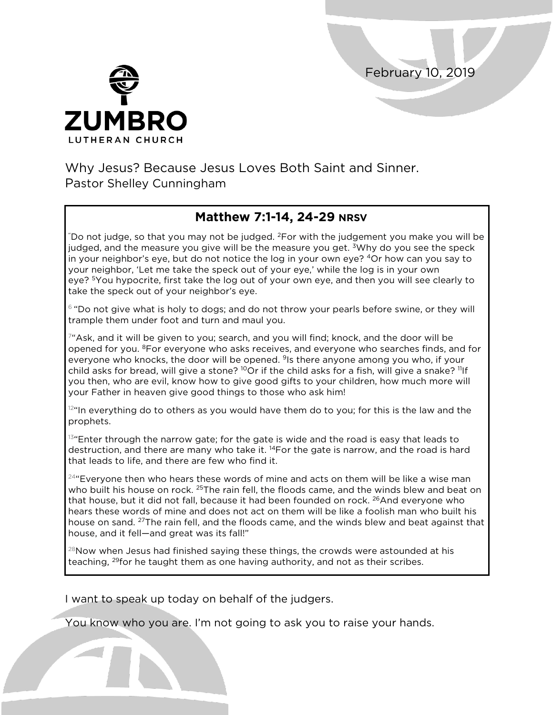February 10, 2019



Why Jesus? Because Jesus Loves Both Saint and Sinner. Pastor Shelley Cunningham

## **Matthew 7:1-14, 24-29 NRSV**

"Do not judge, so that you may not be judged.  ${}^{2}$ For with the judgement you make you will be judged, and the measure you give will be the measure you get. <sup>3</sup>Why do you see the speck in your neighbor's eye, but do not notice the log in your own eye? 4Or how can you say to your neighbor, 'Let me take the speck out of your eye,' while the log is in your own eye? <sup>5</sup>You hypocrite, first take the log out of your own eye, and then you will see clearly to take the speck out of your neighbor's eye.

 $6$  "Do not give what is holy to dogs; and do not throw your pearls before swine, or they will trample them under foot and turn and maul you.

7"Ask, and it will be given to you; search, and you will find; knock, and the door will be opened for you. 8For everyone who asks receives, and everyone who searches finds, and for everyone who knocks, the door will be opened. <sup>9</sup>Is there anyone among you who, if your child asks for bread, will give a stone?  $^{10}$ Or if the child asks for a fish, will give a snake?  $^{11}$ If you then, who are evil, know how to give good gifts to your children, how much more will your Father in heaven give good things to those who ask him!

 $12<sup>a</sup>$ In everything do to others as you would have them do to you; for this is the law and the prophets.

13"Enter through the narrow gate; for the gate is wide and the road is easy that leads to destruction, and there are many who take it. 14For the gate is narrow, and the road is hard that leads to life, and there are few who find it.

 $24$ "Evervone then who hears these words of mine and acts on them will be like a wise man who built his house on rock. <sup>25</sup>The rain fell, the floods came, and the winds blew and beat on that house, but it did not fall, because it had been founded on rock. <sup>26</sup>And everyone who hears these words of mine and does not act on them will be like a foolish man who built his house on sand. <sup>27</sup>The rain fell, and the floods came, and the winds blew and beat against that house, and it fell—and great was its fall!"

<sup>28</sup>Now when Jesus had finished saying these things, the crowds were astounded at his teaching, <sup>29</sup>for he taught them as one having authority, and not as their scribes.

I want to speak up today on behalf of the judgers.

You know who you are. I'm not going to ask you to raise your hands.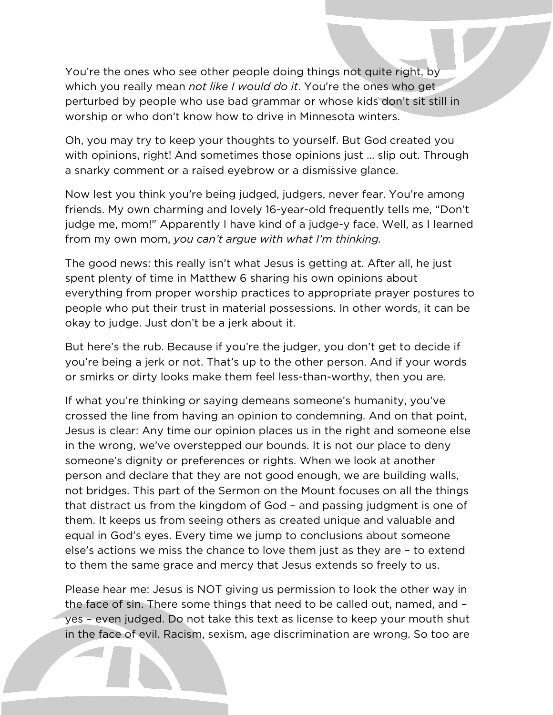You're the ones who see other people doing things not quite right, by which you really mean *not like I would do it*. You're the ones who get perturbed by people who use bad grammar or whose kids don't sit still in worship or who don't know how to drive in Minnesota winters.

Oh, you may try to keep your thoughts to yourself. But God created you with opinions, right! And sometimes those opinions just ... slip out. Through a snarky comment or a raised eyebrow or a dismissive glance.

Now lest you think you're being judged, judgers, never fear. You're among friends. My own charming and lovely 16-year-old frequently tells me, "Don't judge me, mom!" Apparently I have kind of a judge-y face. Well, as I learned from my own mom, *you can't argue with what I'm thinking.*

The good news: this really isn't what Jesus is getting at. After all, he just spent plenty of time in Matthew 6 sharing his own opinions about everything from proper worship practices to appropriate prayer postures to people who put their trust in material possessions. In other words, it can be okay to judge. Just don't be a jerk about it.

But here's the rub. Because if you're the judger, you don't get to decide if you're being a jerk or not. That's up to the other person. And if your words or smirks or dirty looks make them feel less-than-worthy, then you are.

If what you're thinking or saying demeans someone's humanity, you've crossed the line from having an opinion to condemning. And on that point, Jesus is clear: Any time our opinion places us in the right and someone else in the wrong, we've overstepped our bounds. It is not our place to deny someone's dignity or preferences or rights. When we look at another person and declare that they are not good enough, we are building walls, not bridges. This part of the Sermon on the Mount focuses on all the things that distract us from the kingdom of God – and passing judgment is one of them. It keeps us from seeing others as created unique and valuable and equal in God's eyes. Every time we jump to conclusions about someone else's actions we miss the chance to love them just as they are – to extend to them the same grace and mercy that Jesus extends so freely to us.

Please hear me: Jesus is NOT giving us permission to look the other way in the face of sin. There some things that need to be called out, named, and – yes – even judged. Do not take this text as license to keep your mouth shut in the face of evil. Racism, sexism, age discrimination are wrong. So too are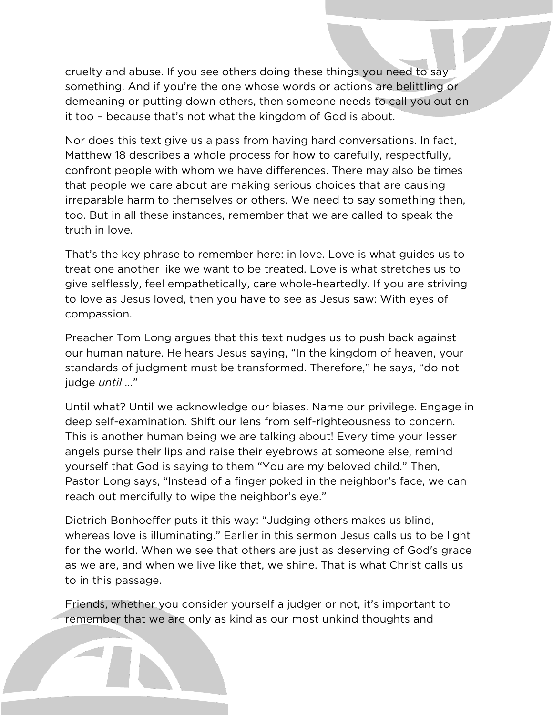cruelty and abuse. If you see others doing these things you need to say something. And if you're the one whose words or actions are belittling or demeaning or putting down others, then someone needs to call you out on it too – because that's not what the kingdom of God is about.

Nor does this text give us a pass from having hard conversations. In fact, Matthew 18 describes a whole process for how to carefully, respectfully, confront people with whom we have differences. There may also be times that people we care about are making serious choices that are causing irreparable harm to themselves or others. We need to say something then, too. But in all these instances, remember that we are called to speak the truth in love.

That's the key phrase to remember here: in love. Love is what guides us to treat one another like we want to be treated. Love is what stretches us to give selflessly, feel empathetically, care whole-heartedly. If you are striving to love as Jesus loved, then you have to see as Jesus saw: With eyes of compassion.

Preacher Tom Long argues that this text nudges us to push back against our human nature. He hears Jesus saying, "In the kingdom of heaven, your standards of judgment must be transformed. Therefore," he says, "do not judge *until …*"

Until what? Until we acknowledge our biases. Name our privilege. Engage in deep self-examination. Shift our lens from self-righteousness to concern. This is another human being we are talking about! Every time your lesser angels purse their lips and raise their eyebrows at someone else, remind yourself that God is saying to them "You are my beloved child." Then, Pastor Long says, "Instead of a finger poked in the neighbor's face, we can reach out mercifully to wipe the neighbor's eye."

Dietrich Bonhoeffer puts it this way: "Judging others makes us blind, whereas love is illuminating." Earlier in this sermon Jesus calls us to be light for the world. When we see that others are just as deserving of God's grace as we are, and when we live like that, we shine. That is what Christ calls us to in this passage.

Friends, whether you consider yourself a judger or not, it's important to remember that we are only as kind as our most unkind thoughts and